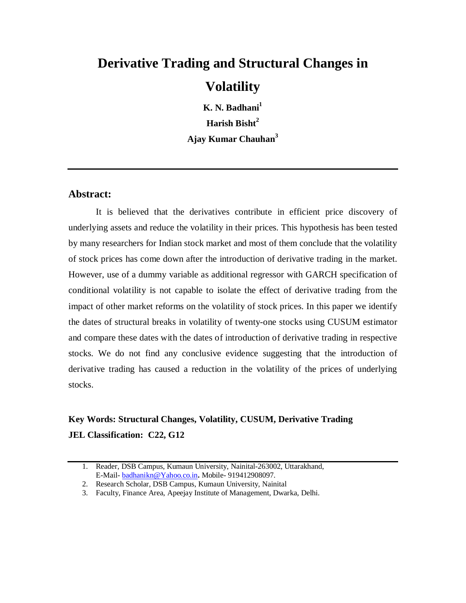# **Derivative Trading and Structural Changes in Volatility**

**K. N. Badhani<sup>1</sup> Harish Bisht<sup>2</sup> Ajay Kumar Chauhan<sup>3</sup>**

## **Abstract:**

It is believed that the derivatives contribute in efficient price discovery of underlying assets and reduce the volatility in their prices. This hypothesis has been tested by many researchers for Indian stock market and most of them conclude that the volatility of stock prices has come down after the introduction of derivative trading in the market. However, use of a dummy variable as additional regressor with GARCH specification of conditional volatility is not capable to isolate the effect of derivative trading from the impact of other market reforms on the volatility of stock prices. In this paper we identify the dates of structural breaks in volatility of twenty-one stocks using CUSUM estimator and compare these dates with the dates of introduction of derivative trading in respective stocks. We do not find any conclusive evidence suggesting that the introduction of derivative trading has caused a reduction in the volatility of the prices of underlying stocks.

# **Key Words: Structural Changes, Volatility, CUSUM, Derivative Trading JEL Classification: C22, G12**

<sup>1.</sup> Reader, DSB Campus, Kumaun University, Nainital-263002, Uttarakhand, E-Mail- badhanikn@Yahoo.co.in**.** Mobile- 919412908097.

<sup>2.</sup> Research Scholar, DSB Campus, Kumaun University, Nainital

<sup>3.</sup> Faculty, Finance Area, Apeejay Institute of Management, Dwarka, Delhi.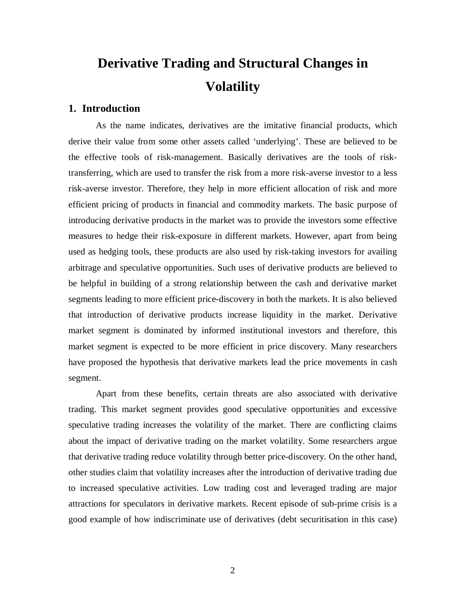# **Derivative Trading and Structural Changes in Volatility**

#### **1. Introduction**

As the name indicates, derivatives are the imitative financial products, which derive their value from some other assets called 'underlying'. These are believed to be the effective tools of risk-management. Basically derivatives are the tools of risktransferring, which are used to transfer the risk from a more risk-averse investor to a less risk-averse investor. Therefore, they help in more efficient allocation of risk and more efficient pricing of products in financial and commodity markets. The basic purpose of introducing derivative products in the market was to provide the investors some effective measures to hedge their risk-exposure in different markets. However, apart from being used as hedging tools, these products are also used by risk-taking investors for availing arbitrage and speculative opportunities. Such uses of derivative products are believed to be helpful in building of a strong relationship between the cash and derivative market segments leading to more efficient price-discovery in both the markets. It is also believed that introduction of derivative products increase liquidity in the market. Derivative market segment is dominated by informed institutional investors and therefore, this market segment is expected to be more efficient in price discovery. Many researchers have proposed the hypothesis that derivative markets lead the price movements in cash segment.

Apart from these benefits, certain threats are also associated with derivative trading. This market segment provides good speculative opportunities and excessive speculative trading increases the volatility of the market. There are conflicting claims about the impact of derivative trading on the market volatility. Some researchers argue that derivative trading reduce volatility through better price-discovery. On the other hand, other studies claim that volatility increases after the introduction of derivative trading due to increased speculative activities. Low trading cost and leveraged trading are major attractions for speculators in derivative markets. Recent episode of sub-prime crisis is a good example of how indiscriminate use of derivatives (debt securitisation in this case)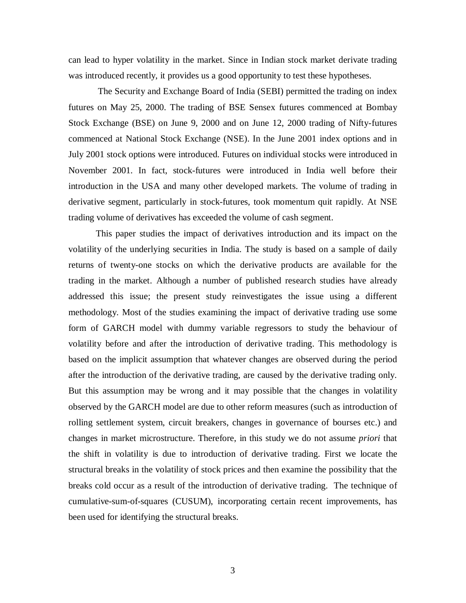can lead to hyper volatility in the market. Since in Indian stock market derivate trading was introduced recently, it provides us a good opportunity to test these hypotheses.

 The Security and Exchange Board of India (SEBI) permitted the trading on index futures on May 25, 2000. The trading of BSE Sensex futures commenced at Bombay Stock Exchange (BSE) on June 9, 2000 and on June 12, 2000 trading of Nifty-futures commenced at National Stock Exchange (NSE). In the June 2001 index options and in July 2001 stock options were introduced. Futures on individual stocks were introduced in November 2001. In fact, stock-futures were introduced in India well before their introduction in the USA and many other developed markets. The volume of trading in derivative segment, particularly in stock-futures, took momentum quit rapidly. At NSE trading volume of derivatives has exceeded the volume of cash segment.

This paper studies the impact of derivatives introduction and its impact on the volatility of the underlying securities in India. The study is based on a sample of daily returns of twenty-one stocks on which the derivative products are available for the trading in the market. Although a number of published research studies have already addressed this issue; the present study reinvestigates the issue using a different methodology. Most of the studies examining the impact of derivative trading use some form of GARCH model with dummy variable regressors to study the behaviour of volatility before and after the introduction of derivative trading. This methodology is based on the implicit assumption that whatever changes are observed during the period after the introduction of the derivative trading, are caused by the derivative trading only. But this assumption may be wrong and it may possible that the changes in volatility observed by the GARCH model are due to other reform measures (such as introduction of rolling settlement system, circuit breakers, changes in governance of bourses etc.) and changes in market microstructure. Therefore, in this study we do not assume *priori* that the shift in volatility is due to introduction of derivative trading. First we locate the structural breaks in the volatility of stock prices and then examine the possibility that the breaks cold occur as a result of the introduction of derivative trading. The technique of cumulative-sum-of-squares (CUSUM), incorporating certain recent improvements, has been used for identifying the structural breaks.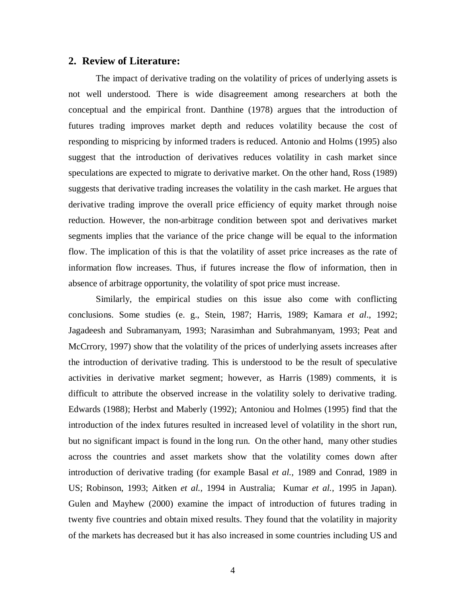#### **2. Review of Literature:**

The impact of derivative trading on the volatility of prices of underlying assets is not well understood. There is wide disagreement among researchers at both the conceptual and the empirical front. Danthine (1978) argues that the introduction of futures trading improves market depth and reduces volatility because the cost of responding to mispricing by informed traders is reduced. Antonio and Holms (1995) also suggest that the introduction of derivatives reduces volatility in cash market since speculations are expected to migrate to derivative market. On the other hand, Ross (1989) suggests that derivative trading increases the volatility in the cash market. He argues that derivative trading improve the overall price efficiency of equity market through noise reduction. However, the non-arbitrage condition between spot and derivatives market segments implies that the variance of the price change will be equal to the information flow. The implication of this is that the volatility of asset price increases as the rate of information flow increases. Thus, if futures increase the flow of information, then in absence of arbitrage opportunity, the volatility of spot price must increase.

Similarly, the empirical studies on this issue also come with conflicting conclusions. Some studies (e. g., Stein, 1987; Harris, 1989; Kamara *et al*., 1992; Jagadeesh and Subramanyam, 1993; Narasimhan and Subrahmanyam, 1993; Peat and McCrrory, 1997) show that the volatility of the prices of underlying assets increases after the introduction of derivative trading. This is understood to be the result of speculative activities in derivative market segment; however, as Harris (1989) comments, it is difficult to attribute the observed increase in the volatility solely to derivative trading. Edwards (1988); Herbst and Maberly (1992); Antoniou and Holmes (1995) find that the introduction of the index futures resulted in increased level of volatility in the short run, but no significant impact is found in the long run. On the other hand, many other studies across the countries and asset markets show that the volatility comes down after introduction of derivative trading (for example Basal *et al.,* 1989 and Conrad, 1989 in US; Robinson, 1993; Aitken *et al.,* 1994 in Australia; Kumar *et al.*, 1995 in Japan). Gulen and Mayhew (2000) examine the impact of introduction of futures trading in twenty five countries and obtain mixed results. They found that the volatility in majority of the markets has decreased but it has also increased in some countries including US and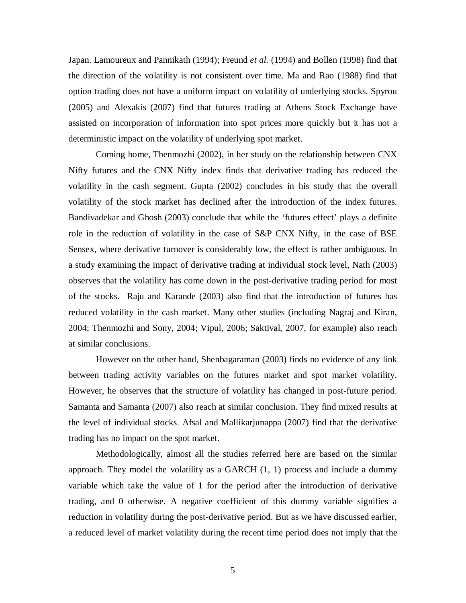Japan. Lamoureux and Pannikath (1994); Freund *et al.* (1994) and Bollen (1998) find that the direction of the volatility is not consistent over time. Ma and Rao (1988) find that option trading does not have a uniform impact on volatility of underlying stocks. Spyrou (2005) and Alexakis (2007) find that futures trading at Athens Stock Exchange have assisted on incorporation of information into spot prices more quickly but it has not a deterministic impact on the volatility of underlying spot market.

Coming home, Thenmozhi (2002), in her study on the relationship between CNX Nifty futures and the CNX Nifty index finds that derivative trading has reduced the volatility in the cash segment. Gupta (2002) concludes in his study that the overall volatility of the stock market has declined after the introduction of the index futures. Bandivadekar and Ghosh (2003) conclude that while the 'futures effect' plays a definite role in the reduction of volatility in the case of S&P CNX Nifty, in the case of BSE Sensex, where derivative turnover is considerably low, the effect is rather ambiguous. In a study examining the impact of derivative trading at individual stock level, Nath (2003) observes that the volatility has come down in the post-derivative trading period for most of the stocks. Raju and Karande (2003) also find that the introduction of futures has reduced volatility in the cash market. Many other studies (including Nagraj and Kiran, 2004; Thenmozhi and Sony, 2004; Vipul, 2006; Saktival, 2007, for example) also reach at similar conclusions.

However on the other hand, Shenbagaraman (2003) finds no evidence of any link between trading activity variables on the futures market and spot market volatility. However, he observes that the structure of volatility has changed in post-future period. Samanta and Samanta (2007) also reach at similar conclusion. They find mixed results at the level of individual stocks. Afsal and Mallikarjunappa (2007) find that the derivative trading has no impact on the spot market.

Methodologically, almost all the studies referred here are based on the similar approach. They model the volatility as a GARCH (1, 1) process and include a dummy variable which take the value of 1 for the period after the introduction of derivative trading, and 0 otherwise. A negative coefficient of this dummy variable signifies a reduction in volatility during the post-derivative period. But as we have discussed earlier, a reduced level of market volatility during the recent time period does not imply that the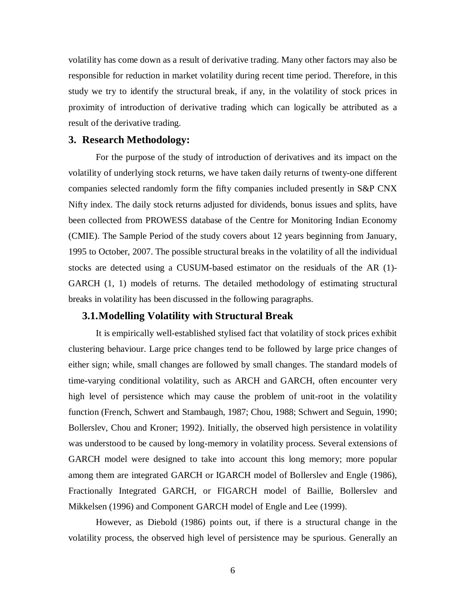volatility has come down as a result of derivative trading. Many other factors may also be responsible for reduction in market volatility during recent time period. Therefore, in this study we try to identify the structural break, if any, in the volatility of stock prices in proximity of introduction of derivative trading which can logically be attributed as a result of the derivative trading.

### **3. Research Methodology:**

For the purpose of the study of introduction of derivatives and its impact on the volatility of underlying stock returns, we have taken daily returns of twenty-one different companies selected randomly form the fifty companies included presently in S&P CNX Nifty index. The daily stock returns adjusted for dividends, bonus issues and splits, have been collected from PROWESS database of the Centre for Monitoring Indian Economy (CMIE). The Sample Period of the study covers about 12 years beginning from January, 1995 to October, 2007. The possible structural breaks in the volatility of all the individual stocks are detected using a CUSUM-based estimator on the residuals of the AR (1)- GARCH (1, 1) models of returns. The detailed methodology of estimating structural breaks in volatility has been discussed in the following paragraphs.

### **3.1.Modelling Volatility with Structural Break**

It is empirically well-established stylised fact that volatility of stock prices exhibit clustering behaviour. Large price changes tend to be followed by large price changes of either sign; while, small changes are followed by small changes. The standard models of time-varying conditional volatility, such as ARCH and GARCH, often encounter very high level of persistence which may cause the problem of unit-root in the volatility function (French, Schwert and Stambaugh, 1987; Chou, 1988; Schwert and Seguin, 1990; Bollerslev, Chou and Kroner; 1992). Initially, the observed high persistence in volatility was understood to be caused by long-memory in volatility process. Several extensions of GARCH model were designed to take into account this long memory; more popular among them are integrated GARCH or IGARCH model of Bollerslev and Engle (1986), Fractionally Integrated GARCH, or FIGARCH model of Baillie, Bollerslev and Mikkelsen (1996) and Component GARCH model of Engle and Lee (1999).

However, as Diebold (1986) points out, if there is a structural change in the volatility process, the observed high level of persistence may be spurious. Generally an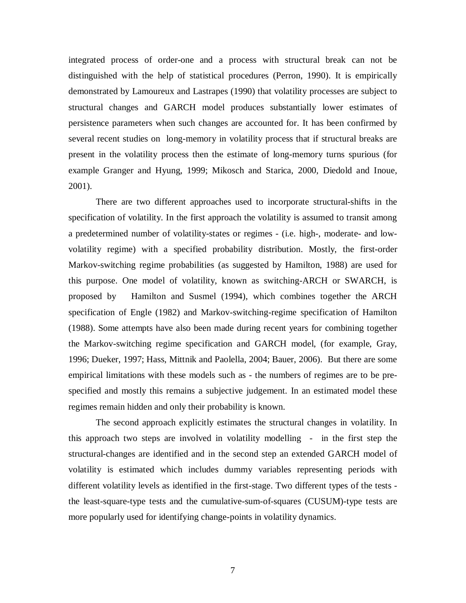integrated process of order-one and a process with structural break can not be distinguished with the help of statistical procedures (Perron, 1990). It is empirically demonstrated by Lamoureux and Lastrapes (1990) that volatility processes are subject to structural changes and GARCH model produces substantially lower estimates of persistence parameters when such changes are accounted for. It has been confirmed by several recent studies on long-memory in volatility process that if structural breaks are present in the volatility process then the estimate of long-memory turns spurious (for example Granger and Hyung, 1999; Mikosch and Starica, 2000, Diedold and Inoue, 2001).

There are two different approaches used to incorporate structural-shifts in the specification of volatility. In the first approach the volatility is assumed to transit among a predetermined number of volatility-states or regimes - (i.e. high-, moderate- and lowvolatility regime) with a specified probability distribution. Mostly, the first-order Markov-switching regime probabilities (as suggested by Hamilton, 1988) are used for this purpose. One model of volatility, known as switching-ARCH or SWARCH, is proposed by Hamilton and Susmel (1994), which combines together the ARCH specification of Engle (1982) and Markov-switching-regime specification of Hamilton (1988). Some attempts have also been made during recent years for combining together the Markov-switching regime specification and GARCH model, (for example, Gray, 1996; Dueker, 1997; Hass, Mittnik and Paolella, 2004; Bauer, 2006). But there are some empirical limitations with these models such as - the numbers of regimes are to be prespecified and mostly this remains a subjective judgement. In an estimated model these regimes remain hidden and only their probability is known.

The second approach explicitly estimates the structural changes in volatility. In this approach two steps are involved in volatility modelling - in the first step the structural-changes are identified and in the second step an extended GARCH model of volatility is estimated which includes dummy variables representing periods with different volatility levels as identified in the first-stage. Two different types of the tests the least-square-type tests and the cumulative-sum-of-squares (CUSUM)-type tests are more popularly used for identifying change-points in volatility dynamics.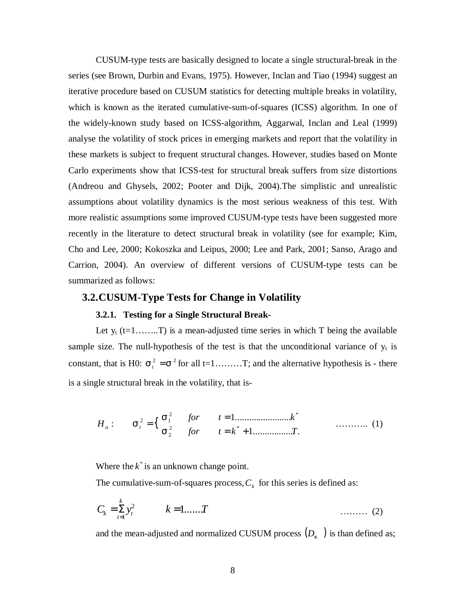CUSUM-type tests are basically designed to locate a single structural-break in the series (see Brown, Durbin and Evans, 1975). However, Inclan and Tiao (1994) suggest an iterative procedure based on CUSUM statistics for detecting multiple breaks in volatility, which is known as the iterated cumulative-sum-of-squares (ICSS) algorithm. In one of the widely-known study based on ICSS-algorithm, Aggarwal, Inclan and Leal (1999) analyse the volatility of stock prices in emerging markets and report that the volatility in these markets is subject to frequent structural changes. However, studies based on Monte Carlo experiments show that ICSS-test for structural break suffers from size distortions (Andreou and Ghysels, 2002; Pooter and Dijk, 2004).The simplistic and unrealistic assumptions about volatility dynamics is the most serious weakness of this test. With more realistic assumptions some improved CUSUM-type tests have been suggested more recently in the literature to detect structural break in volatility (see for example; Kim, Cho and Lee, 2000; Kokoszka and Leipus, 2000; Lee and Park, 2001; Sanso, Arago and Carrion, 2004). An overview of different versions of CUSUM-type tests can be summarized as follows:

### **3.2.CUSUM-Type Tests for Change in Volatility**

#### **3.2.1. Testing for a Single Structural Break-**

Let  $y_t$  (t=1……...T) is a mean-adjusted time series in which T being the available sample size. The null-hypothesis of the test is that the unconditional variance of  $y_t$  is constant, that is H0:  $\sigma_t^2 = \sigma^2$  for all t=1………T; and the alternative hypothesis is - there is a single structural break in the volatility, that is-

{ 1................. . 1........................ : 2 \* 2 2 \* 2 1 *for t k T for t k H<sup>a</sup> <sup>t</sup>* = + = = σ σ σ ……….. (1)

Where the  $k^*$  is an unknown change point.

The cumulative-sum-of-squares process,  $C_k$  for this series is defined as:

$$
C_k = \sum_{t=1}^k y_t^2 \qquad k = 1, \dots, T \qquad (2)
$$

and the mean-adjusted and normalized CUSUM process  $(D<sub>k</sub>$  ) is than defined as;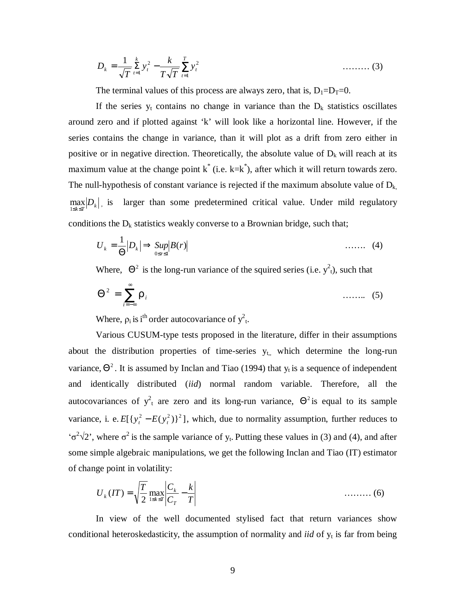$$
D_k = \frac{1}{\sqrt{T}} \sum_{t=1}^k y_t^2 - \frac{k}{T\sqrt{T}} \sum_{t=1}^T y_t^2 \qquad \qquad \dots \dots \dots \tag{3}
$$

The terminal values of this process are always zero, that is,  $D_1=D_T=0$ .

If the series  $y_t$  contains no change in variance than the  $D_k$  statistics oscillates around zero and if plotted against 'k' will look like a horizontal line. However, if the series contains the change in variance, than it will plot as a drift from zero either in positive or in negative direction. Theoretically, the absolute value of  $D_k$  will reach at its maximum value at the change point  $k^*$  (i.e.  $k=k^*$ ), after which it will return towards zero. The null-hypothesis of constant variance is rejected if the maximum absolute value of  $D_k$ ,  $\max_{1 \le k \le T} |D_k|$ , is larger than some predetermined critical value. Under mild regulatory conditions the  $D_k$  statistics weakly converse to a Brownian bridge, such that;

$$
U_k = \frac{1}{\Theta} |D_k| \Rightarrow \sup_{0 \le r \le 1} |B(r)| \tag{4}
$$

Where,  $\Theta^2$  is the long-run variance of the squired series (i.e.  $y^2$ <sub>t</sub>), such that

$$
\Theta^2 = \sum_{i=-\infty}^{\infty} \rho_i \qquad \qquad \dots \dots \qquad (5)
$$

Where,  $\rho_i$  is i<sup>th</sup> order autocovariance of  $y^2$ <sub>t</sub>.

Various CUSUM-type tests proposed in the literature, differ in their assumptions about the distribution properties of time-series  $y_{t_n}$  which determine the long-run variance,  $\Theta^2$ . It is assumed by Inclan and Tiao (1994) that  $y_t$  is a sequence of independent and identically distributed (*iid*) normal random variable. Therefore, all the autocovariances of  $y_t^2$  are zero and its long-run variance,  $\Theta^2$  is equal to its sample variance, i. e.  $E[{y_t^2 - E(y_t^2)}^2]$ , which, due to normality assumption, further reduces to  $\sigma^2 \sqrt{2}$ , where  $\sigma^2$  is the sample variance of y<sub>t</sub>. Putting these values in (3) and (4), and after some simple algebraic manipulations, we get the following Inclan and Tiao (IT) estimator of change point in volatility:

$$
U_k(T) = \sqrt{\frac{T}{2}} \max_{1 \le k \le T} \left| \frac{C_k}{C_T} - \frac{k}{T} \right| \tag{6}
$$

 In view of the well documented stylised fact that return variances show conditional heteroskedasticity, the assumption of normality and *iid* of y<sub>t</sub> is far from being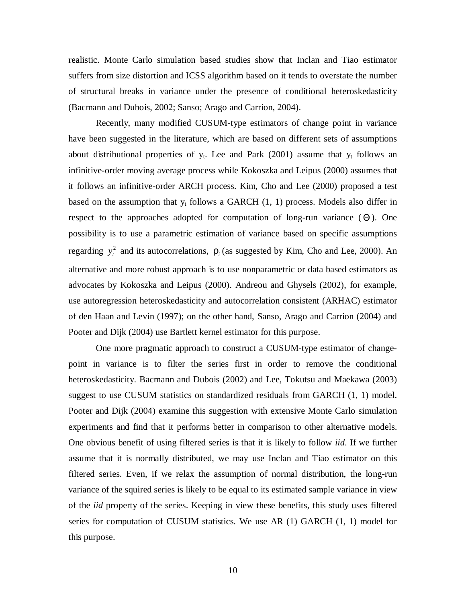realistic. Monte Carlo simulation based studies show that Inclan and Tiao estimator suffers from size distortion and ICSS algorithm based on it tends to overstate the number of structural breaks in variance under the presence of conditional heteroskedasticity (Bacmann and Dubois, 2002; Sanso; Arago and Carrion, 2004).

 Recently, many modified CUSUM-type estimators of change point in variance have been suggested in the literature, which are based on different sets of assumptions about distributional properties of  $y_t$ . Lee and Park (2001) assume that  $y_t$  follows an infinitive-order moving average process while Kokoszka and Leipus (2000) assumes that it follows an infinitive-order ARCH process. Kim, Cho and Lee (2000) proposed a test based on the assumption that  $y_t$  follows a GARCH  $(1, 1)$  process. Models also differ in respect to the approaches adopted for computation of long-run variance  $(\Theta)$ . One possibility is to use a parametric estimation of variance based on specific assumptions regarding  $y_t^2$  and its autocorrelations,  $\rho_i$  (as suggested by Kim, Cho and Lee, 2000). An alternative and more robust approach is to use nonparametric or data based estimators as advocates by Kokoszka and Leipus (2000). Andreou and Ghysels (2002), for example, use autoregression heteroskedasticity and autocorrelation consistent (ARHAC) estimator of den Haan and Levin (1997); on the other hand, Sanso, Arago and Carrion (2004) and Pooter and Dijk (2004) use Bartlett kernel estimator for this purpose.

 One more pragmatic approach to construct a CUSUM-type estimator of changepoint in variance is to filter the series first in order to remove the conditional heteroskedasticity. Bacmann and Dubois (2002) and Lee, Tokutsu and Maekawa (2003) suggest to use CUSUM statistics on standardized residuals from GARCH (1, 1) model. Pooter and Dijk (2004) examine this suggestion with extensive Monte Carlo simulation experiments and find that it performs better in comparison to other alternative models. One obvious benefit of using filtered series is that it is likely to follow *iid*. If we further assume that it is normally distributed, we may use Inclan and Tiao estimator on this filtered series. Even, if we relax the assumption of normal distribution, the long-run variance of the squired series is likely to be equal to its estimated sample variance in view of the *iid* property of the series. Keeping in view these benefits, this study uses filtered series for computation of CUSUM statistics. We use AR (1) GARCH (1, 1) model for this purpose.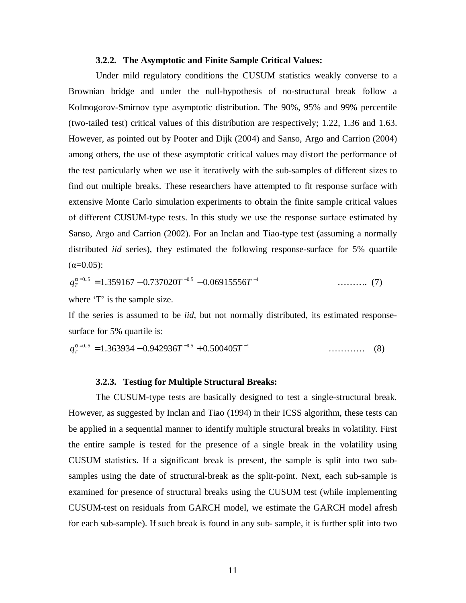#### **3.2.2. The Asymptotic and Finite Sample Critical Values:**

 Under mild regulatory conditions the CUSUM statistics weakly converse to a Brownian bridge and under the null-hypothesis of no-structural break follow a Kolmogorov-Smirnov type asymptotic distribution. The 90%, 95% and 99% percentile (two-tailed test) critical values of this distribution are respectively; 1.22, 1.36 and 1.63. However, as pointed out by Pooter and Dijk (2004) and Sanso, Argo and Carrion (2004) among others, the use of these asymptotic critical values may distort the performance of the test particularly when we use it iteratively with the sub-samples of different sizes to find out multiple breaks. These researchers have attempted to fit response surface with extensive Monte Carlo simulation experiments to obtain the finite sample critical values of different CUSUM-type tests. In this study we use the response surface estimated by Sanso, Argo and Carrion (2002). For an Inclan and Tiao-type test (assuming a normally distributed *iid* series), they estimated the following response-surface for 5% quartile  $(\alpha=0.05)$ :

$$
q_T^{\alpha=0.5} = 1.359167 - 0.737020T^{-0.5} - 0.06915556T^{-1}
$$
 ......... (7)

where 'T' is the sample size.

If the series is assumed to be *iid*, but not normally distributed, its estimated responsesurface for 5% quartile is:

$$
q_T^{\alpha=0.5} = 1.363934 - 0.942936T^{-0.5} + 0.500405T^{-1}
$$
 (8)

#### **3.2.3. Testing for Multiple Structural Breaks:**

The CUSUM-type tests are basically designed to test a single-structural break. However, as suggested by Inclan and Tiao (1994) in their ICSS algorithm, these tests can be applied in a sequential manner to identify multiple structural breaks in volatility. First the entire sample is tested for the presence of a single break in the volatility using CUSUM statistics. If a significant break is present, the sample is split into two subsamples using the date of structural-break as the split-point. Next, each sub-sample is examined for presence of structural breaks using the CUSUM test (while implementing CUSUM-test on residuals from GARCH model, we estimate the GARCH model afresh for each sub-sample). If such break is found in any sub- sample, it is further split into two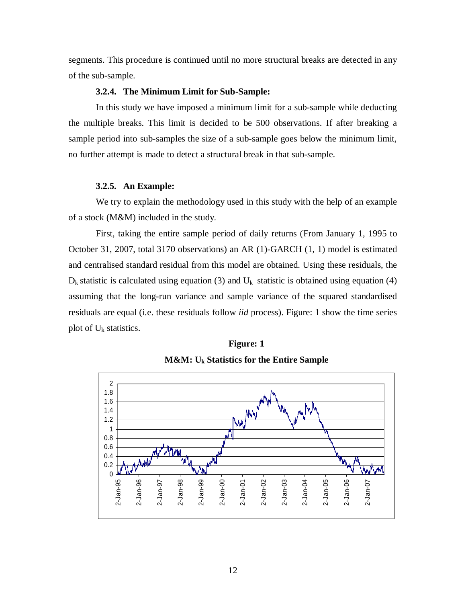segments. This procedure is continued until no more structural breaks are detected in any of the sub-sample.

#### **3.2.4. The Minimum Limit for Sub-Sample:**

In this study we have imposed a minimum limit for a sub-sample while deducting the multiple breaks. This limit is decided to be 500 observations. If after breaking a sample period into sub-samples the size of a sub-sample goes below the minimum limit, no further attempt is made to detect a structural break in that sub-sample.

#### **3.2.5. An Example:**

We try to explain the methodology used in this study with the help of an example of a stock (M&M) included in the study.

First, taking the entire sample period of daily returns (From January 1, 1995 to October 31, 2007, total 3170 observations) an AR (1)-GARCH (1, 1) model is estimated and centralised standard residual from this model are obtained. Using these residuals, the  $D_k$  statistic is calculated using equation (3) and  $U_k$  statistic is obtained using equation (4) assuming that the long-run variance and sample variance of the squared standardised residuals are equal (i.e. these residuals follow *iid* process). Figure: 1 show the time series plot of  $U_k$  statistics.



**M&M: Uk Statistics for the Entire Sample**

**Figure: 1**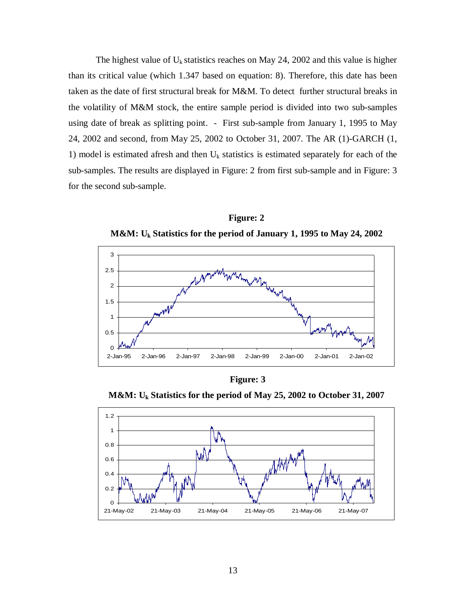The highest value of  $U_k$  statistics reaches on May 24, 2002 and this value is higher than its critical value (which 1.347 based on equation: 8). Therefore, this date has been taken as the date of first structural break for M&M. To detect further structural breaks in the volatility of M&M stock, the entire sample period is divided into two sub-samples using date of break as splitting point. - First sub-sample from January 1, 1995 to May 24, 2002 and second, from May 25, 2002 to October 31, 2007. The AR (1)-GARCH (1, 1) model is estimated afresh and then  $U_k$  statistics is estimated separately for each of the sub-samples. The results are displayed in Figure: 2 from first sub-sample and in Figure: 3 for the second sub-sample.



**Figure: 2 M&M: Uk Statistics for the period of January 1, 1995 to May 24, 2002**

**Figure: 3**

**M&M: Uk Statistics for the period of May 25, 2002 to October 31, 2007**

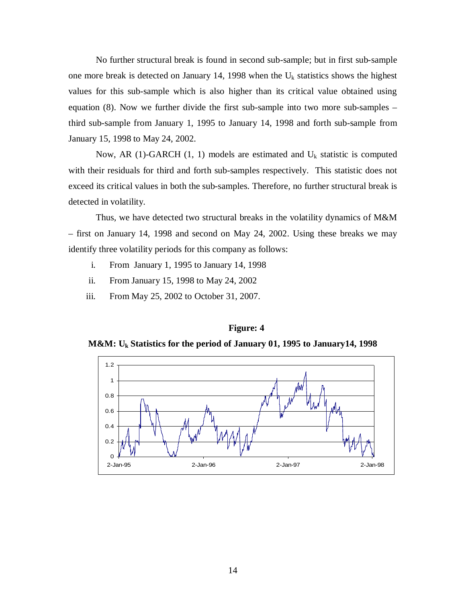No further structural break is found in second sub-sample; but in first sub-sample one more break is detected on January 14, 1998 when the  $U_k$  statistics shows the highest values for this sub-sample which is also higher than its critical value obtained using equation (8). Now we further divide the first sub-sample into two more sub-samples – third sub-sample from January 1, 1995 to January 14, 1998 and forth sub-sample from January 15, 1998 to May 24, 2002.

Now, AR (1)-GARCH (1, 1) models are estimated and  $U_k$  statistic is computed with their residuals for third and forth sub-samples respectively. This statistic does not exceed its critical values in both the sub-samples. Therefore, no further structural break is detected in volatility.

Thus, we have detected two structural breaks in the volatility dynamics of M&M – first on January 14, 1998 and second on May 24, 2002. Using these breaks we may identify three volatility periods for this company as follows:

- i. From January 1, 1995 to January 14, 1998
- ii. From January 15, 1998 to May 24, 2002
- iii. From May 25, 2002 to October 31, 2007.



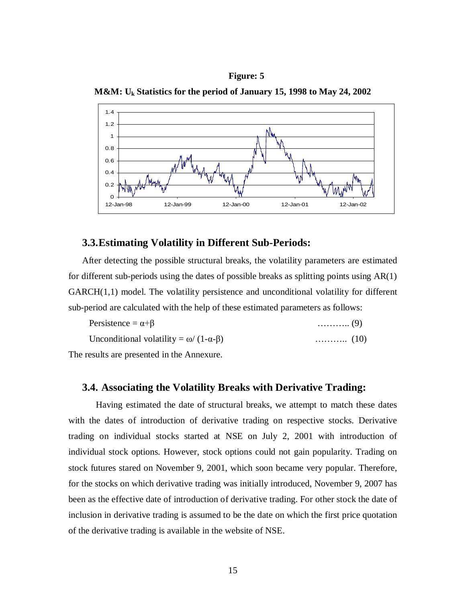





### **3.3.Estimating Volatility in Different Sub-Periods:**

After detecting the possible structural breaks, the volatility parameters are estimated for different sub-periods using the dates of possible breaks as splitting points using AR(1)  $GARCH(1,1)$  model. The volatility persistence and unconditional volatility for different sub-period are calculated with the help of these estimated parameters as follows:

| Persistence = $\alpha + \beta$                       | $\ldots \ldots \ldots (9)$ |
|------------------------------------------------------|----------------------------|
| Unconditional volatility = $\omega/(1-\alpha-\beta)$ |                            |

The results are presented in the Annexure.

#### **3.4. Associating the Volatility Breaks with Derivative Trading:**

Having estimated the date of structural breaks, we attempt to match these dates with the dates of introduction of derivative trading on respective stocks. Derivative trading on individual stocks started at NSE on July 2, 2001 with introduction of individual stock options. However, stock options could not gain popularity. Trading on stock futures stared on November 9, 2001, which soon became very popular. Therefore, for the stocks on which derivative trading was initially introduced, November 9, 2007 has been as the effective date of introduction of derivative trading. For other stock the date of inclusion in derivative trading is assumed to be the date on which the first price quotation of the derivative trading is available in the website of NSE.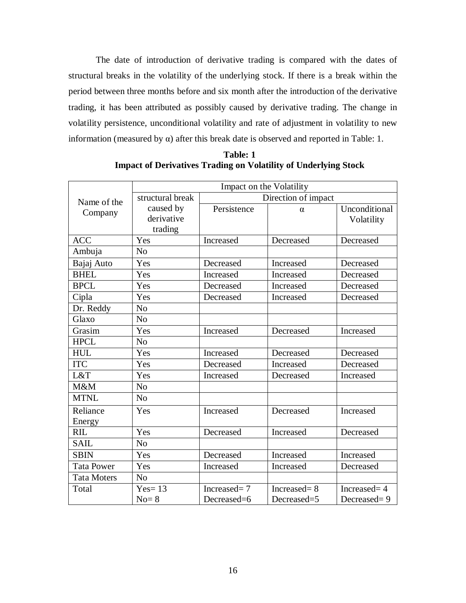The date of introduction of derivative trading is compared with the dates of structural breaks in the volatility of the underlying stock. If there is a break within the period between three months before and six month after the introduction of the derivative trading, it has been attributed as possibly caused by derivative trading. The change in volatility persistence, unconditional volatility and rate of adjustment in volatility to new information (measured by  $\alpha$ ) after this break date is observed and reported in Table: 1.

|                    | Impact on the Volatility |             |                     |               |  |  |  |
|--------------------|--------------------------|-------------|---------------------|---------------|--|--|--|
| Name of the        | structural break         |             | Direction of impact |               |  |  |  |
| Company            | caused by                | Persistence | $\alpha$            | Unconditional |  |  |  |
|                    | derivative               |             |                     | Volatility    |  |  |  |
|                    | trading                  |             |                     |               |  |  |  |
| <b>ACC</b>         | Yes                      | Increased   | Decreased           | Decreased     |  |  |  |
| Ambuja             | No                       |             |                     |               |  |  |  |
| Bajaj Auto         | Yes                      | Decreased   | Increased           | Decreased     |  |  |  |
| <b>BHEL</b>        | Yes                      | Increased   | Increased           | Decreased     |  |  |  |
| <b>BPCL</b>        | Yes                      | Decreased   | Increased           | Decreased     |  |  |  |
| Cipla              | Yes                      | Decreased   | Increased           | Decreased     |  |  |  |
| Dr. Reddy          | N <sub>o</sub>           |             |                     |               |  |  |  |
| Glaxo              | N <sub>o</sub>           |             |                     |               |  |  |  |
| Grasim             | Yes                      | Increased   | Decreased           | Increased     |  |  |  |
| <b>HPCL</b>        | N <sub>o</sub>           |             |                     |               |  |  |  |
| <b>HUL</b>         | Yes                      | Increased   | Decreased           | Decreased     |  |  |  |
| <b>ITC</b>         | Yes                      | Decreased   | Increased           | Decreased     |  |  |  |
| L&T                | Yes                      | Increased   | Decreased           | Increased     |  |  |  |
| M&M                | N <sub>o</sub>           |             |                     |               |  |  |  |
| <b>MTNL</b>        | N <sub>o</sub>           |             |                     |               |  |  |  |
| Reliance           | Yes                      | Increased   | Decreased           | Increased     |  |  |  |
| Energy             |                          |             |                     |               |  |  |  |
| <b>RIL</b>         | Yes                      | Decreased   | Increased           | Decreased     |  |  |  |
| <b>SAIL</b>        | N <sub>0</sub>           |             |                     |               |  |  |  |
| <b>SBIN</b>        | Yes                      | Decreased   | Increased           | Increased     |  |  |  |
| <b>Tata Power</b>  | Yes                      | Increased   | Increased           | Decreased     |  |  |  |
| <b>Tata Moters</b> | N <sub>0</sub>           |             |                     |               |  |  |  |
| Total              | $Yes = 13$               | Increased=7 | Increased=8         | Increased= 4  |  |  |  |
|                    | $No = 8$                 | Decreased=6 | Decreased=5         | Decreased=9   |  |  |  |

**Table: 1 Impact of Derivatives Trading on Volatility of Underlying Stock**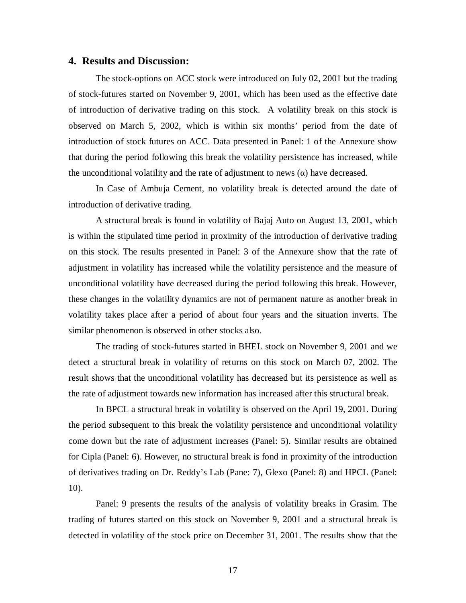#### **4. Results and Discussion:**

The stock-options on ACC stock were introduced on July 02, 2001 but the trading of stock-futures started on November 9, 2001, which has been used as the effective date of introduction of derivative trading on this stock. A volatility break on this stock is observed on March 5, 2002, which is within six months' period from the date of introduction of stock futures on ACC. Data presented in Panel: 1 of the Annexure show that during the period following this break the volatility persistence has increased, while the unconditional volatility and the rate of adjustment to news  $(\alpha)$  have decreased.

In Case of Ambuja Cement, no volatility break is detected around the date of introduction of derivative trading.

A structural break is found in volatility of Bajaj Auto on August 13, 2001, which is within the stipulated time period in proximity of the introduction of derivative trading on this stock. The results presented in Panel: 3 of the Annexure show that the rate of adjustment in volatility has increased while the volatility persistence and the measure of unconditional volatility have decreased during the period following this break. However, these changes in the volatility dynamics are not of permanent nature as another break in volatility takes place after a period of about four years and the situation inverts. The similar phenomenon is observed in other stocks also.

The trading of stock-futures started in BHEL stock on November 9, 2001 and we detect a structural break in volatility of returns on this stock on March 07, 2002. The result shows that the unconditional volatility has decreased but its persistence as well as the rate of adjustment towards new information has increased after this structural break.

In BPCL a structural break in volatility is observed on the April 19, 2001. During the period subsequent to this break the volatility persistence and unconditional volatility come down but the rate of adjustment increases (Panel: 5). Similar results are obtained for Cipla (Panel: 6). However, no structural break is fond in proximity of the introduction of derivatives trading on Dr. Reddy's Lab (Pane: 7), Glexo (Panel: 8) and HPCL (Panel: 10).

Panel: 9 presents the results of the analysis of volatility breaks in Grasim. The trading of futures started on this stock on November 9, 2001 and a structural break is detected in volatility of the stock price on December 31, 2001. The results show that the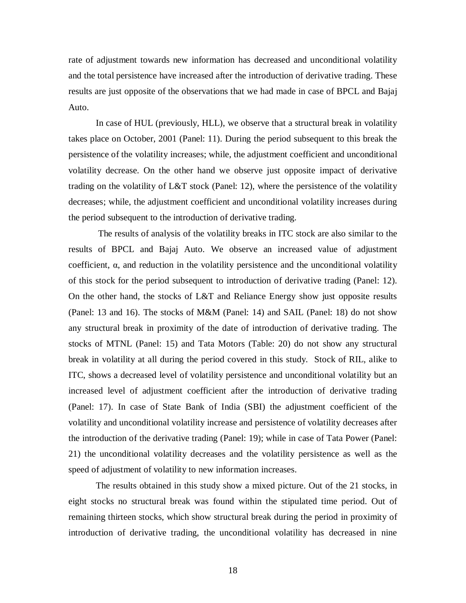rate of adjustment towards new information has decreased and unconditional volatility and the total persistence have increased after the introduction of derivative trading. These results are just opposite of the observations that we had made in case of BPCL and Bajaj Auto.

In case of HUL (previously, HLL), we observe that a structural break in volatility takes place on October, 2001 (Panel: 11). During the period subsequent to this break the persistence of the volatility increases; while, the adjustment coefficient and unconditional volatility decrease. On the other hand we observe just opposite impact of derivative trading on the volatility of L&T stock (Panel: 12), where the persistence of the volatility decreases; while, the adjustment coefficient and unconditional volatility increases during the period subsequent to the introduction of derivative trading.

 The results of analysis of the volatility breaks in ITC stock are also similar to the results of BPCL and Bajaj Auto. We observe an increased value of adjustment coefficient,  $\alpha$ , and reduction in the volatility persistence and the unconditional volatility of this stock for the period subsequent to introduction of derivative trading (Panel: 12). On the other hand, the stocks of L&T and Reliance Energy show just opposite results (Panel: 13 and 16). The stocks of M&M (Panel: 14) and SAIL (Panel: 18) do not show any structural break in proximity of the date of introduction of derivative trading. The stocks of MTNL (Panel: 15) and Tata Motors (Table: 20) do not show any structural break in volatility at all during the period covered in this study. Stock of RIL, alike to ITC, shows a decreased level of volatility persistence and unconditional volatility but an increased level of adjustment coefficient after the introduction of derivative trading (Panel: 17). In case of State Bank of India (SBI) the adjustment coefficient of the volatility and unconditional volatility increase and persistence of volatility decreases after the introduction of the derivative trading (Panel: 19); while in case of Tata Power (Panel: 21) the unconditional volatility decreases and the volatility persistence as well as the speed of adjustment of volatility to new information increases.

The results obtained in this study show a mixed picture. Out of the 21 stocks, in eight stocks no structural break was found within the stipulated time period. Out of remaining thirteen stocks, which show structural break during the period in proximity of introduction of derivative trading, the unconditional volatility has decreased in nine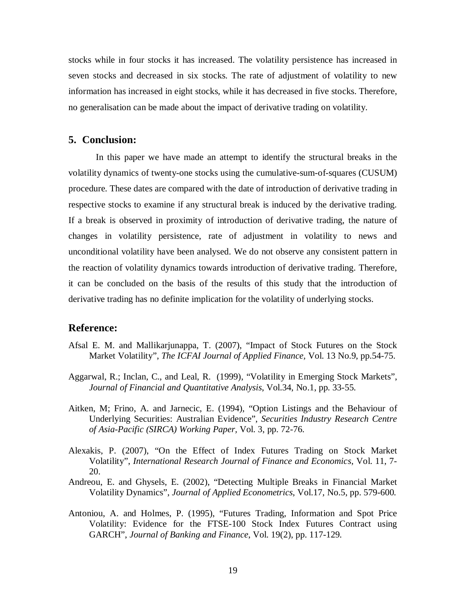stocks while in four stocks it has increased. The volatility persistence has increased in seven stocks and decreased in six stocks. The rate of adjustment of volatility to new information has increased in eight stocks, while it has decreased in five stocks. Therefore, no generalisation can be made about the impact of derivative trading on volatility.

## **5. Conclusion:**

In this paper we have made an attempt to identify the structural breaks in the volatility dynamics of twenty-one stocks using the cumulative-sum-of-squares (CUSUM) procedure. These dates are compared with the date of introduction of derivative trading in respective stocks to examine if any structural break is induced by the derivative trading. If a break is observed in proximity of introduction of derivative trading, the nature of changes in volatility persistence, rate of adjustment in volatility to news and unconditional volatility have been analysed. We do not observe any consistent pattern in the reaction of volatility dynamics towards introduction of derivative trading. Therefore, it can be concluded on the basis of the results of this study that the introduction of derivative trading has no definite implication for the volatility of underlying stocks.

#### **Reference:**

- Afsal E. M. and Mallikarjunappa, T. (2007), "Impact of Stock Futures on the Stock Market Volatility", *The ICFAI Journal of Applied Finance,* Vol. 13 No.9, pp.54-75.
- Aggarwal, R.; Inclan, C., and Leal, R. (1999), "Volatility in Emerging Stock Markets", *Journal of Financial and Quantitative Analysis*, Vol.34, No.1, pp. 33-55.
- Aitken, M; Frino, A. and Jarnecic, E. (1994), "Option Listings and the Behaviour of Underlying Securities: Australian Evidence", *Securities Industry Research Centre of Asia-Pacific (SIRCA) Working Paper,* Vol. 3, pp. 72-76.
- Alexakis, P. (2007), "On the Effect of Index Futures Trading on Stock Market Volatility", *International Research Journal of Finance and Economics*, Vol. 11, 7- 20.
- Andreou, E. and Ghysels, E. (2002), "Detecting Multiple Breaks in Financial Market Volatility Dynamics", *Journal of Applied Econometrics*, Vol.17, No.5, pp. 579-600.
- Antoniou, A. and Holmes, P. (1995), "Futures Trading, Information and Spot Price Volatility: Evidence for the FTSE-100 Stock Index Futures Contract using GARCH", *Journal of Banking and Finance*, Vol. 19(2), pp. 117-129.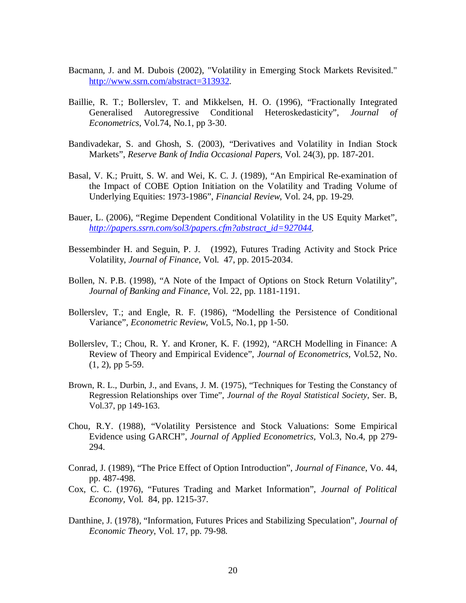- Bacmann, J. and M. Dubois (2002), "Volatility in Emerging Stock Markets Revisited." http://www.ssrn.com/abstract=313932.
- Baillie, R. T.; Bollerslev, T. and Mikkelsen, H. O. (1996), "Fractionally Integrated Generalised Autoregressive Conditional Heteroskedasticity", *Journal of Econometrics*, Vol.74, No.1, pp 3-30.
- Bandivadekar, S. and Ghosh, S. (2003), "Derivatives and Volatility in Indian Stock Markets", *Reserve Bank of India Occasional Papers,* Vol. 24(3), pp. 187-201.
- Basal, V. K.; Pruitt, S. W. and Wei, K. C. J. (1989), "An Empirical Re-examination of the Impact of COBE Option Initiation on the Volatility and Trading Volume of Underlying Equities: 1973-1986", *Financial Review*, Vol. 24, pp. 19-29.
- Bauer, L. (2006), "Regime Dependent Conditional Volatility in the US Equity Market", *http://papers.ssrn.com/sol3/papers.cfm?abstract\_id=927044.*
- Bessembinder H. and Seguin, P. J. (1992), Futures Trading Activity and Stock Price Volatility, *Journal of Finance,* Vol. 47, pp. 2015-2034.
- Bollen, N. P.B. (1998), "A Note of the Impact of Options on Stock Return Volatility", *Journal of Banking and Finance*, Vol. 22, pp. 1181-1191.
- Bollerslev, T.; and Engle, R. F. (1986), "Modelling the Persistence of Conditional Variance", *Econometric Review*, Vol.5, No.1, pp 1-50.
- Bollerslev, T.; Chou, R. Y. and Kroner, K. F. (1992), "ARCH Modelling in Finance: A Review of Theory and Empirical Evidence", *Journal of Econometrics,* Vol.52, No.  $(1, 2)$ , pp 5-59.
- Brown, R. L., Durbin, J., and Evans, J. M. (1975), "Techniques for Testing the Constancy of Regression Relationships over Time", *Journal of the Royal Statistical Society*, Ser. B, Vol.37, pp 149-163.
- Chou, R.Y. (1988), "Volatility Persistence and Stock Valuations: Some Empirical Evidence using GARCH", *Journal of Applied Econometrics,* Vol.3, No.4, pp 279- 294.
- Conrad, J. (1989), "The Price Effect of Option Introduction", *Journal of Finance*, Vo. 44, pp. 487-498.
- Cox, C. C. (1976), "Futures Trading and Market Information", *Journal of Political Economy,* Vol. 84, pp. 1215-37.
- Danthine, J. (1978), "Information, Futures Prices and Stabilizing Speculation", *Journal of Economic Theory*, Vol. 17, pp. 79-98.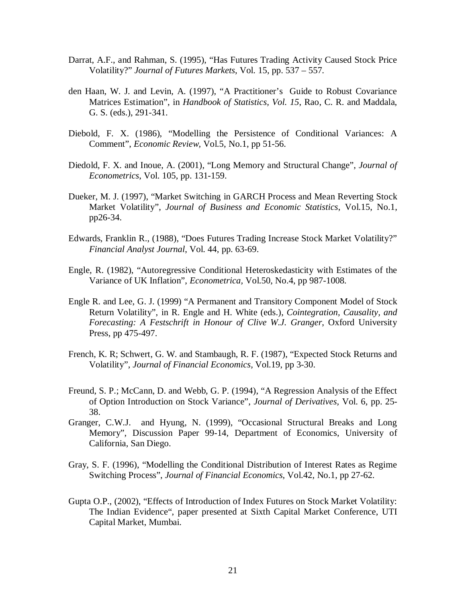- Darrat, A.F., and Rahman, S. (1995), "Has Futures Trading Activity Caused Stock Price Volatility?" *Journal of Futures Markets*, Vol. 15, pp. 537 – 557.
- den Haan, W. J. and Levin, A. (1997), "A Practitioner's Guide to Robust Covariance Matrices Estimation", in *Handbook of Statistics, Vol. 15*, Rao, C. R. and Maddala, G. S. (eds.), 291-341.
- Diebold, F. X. (1986), "Modelling the Persistence of Conditional Variances: A Comment", *Economic Review,* Vol.5, No.1, pp 51-56.
- Diedold, F. X. and Inoue, A. (2001), "Long Memory and Structural Change", *Journal of Econometrics*, Vol. 105, pp. 131-159.
- Dueker, M. J. (1997), "Market Switching in GARCH Process and Mean Reverting Stock Market Volatility", *Journal of Business and Economic Statistics*, Vol.15, No.1, pp26-34.
- Edwards, Franklin R., (1988), "Does Futures Trading Increase Stock Market Volatility?" *Financial Analyst Journal*, Vol. 44, pp. 63-69.
- Engle, R. (1982), "Autoregressive Conditional Heteroskedasticity with Estimates of the Variance of UK Inflation", *Econometrica,* Vol.50, No.4, pp 987-1008.
- Engle R. and Lee, G. J. (1999) "A Permanent and Transitory Component Model of Stock Return Volatility", in R. Engle and H. White (eds.), *Cointegration, Causality, and Forecasting: A Festschrift in Honour of Clive W.J. Granger*, Oxford University Press, pp 475-497.
- French, K. R; Schwert, G. W. and Stambaugh, R. F. (1987), "Expected Stock Returns and Volatility", *Journal of Financial Economics,* Vol.19, pp 3-30.
- Freund, S. P.; McCann, D. and Webb, G. P. (1994), "A Regression Analysis of the Effect of Option Introduction on Stock Variance", *Journal of Derivatives,* Vol. 6, pp. 25- 38.
- Granger, C.W.J. and Hyung, N. (1999), "Occasional Structural Breaks and Long Memory", Discussion Paper 99-14, Department of Economics, University of California, San Diego.
- Gray, S. F. (1996), "Modelling the Conditional Distribution of Interest Rates as Regime Switching Process", *Journal of Financial Economics*, Vol.42, No.1, pp 27-62.
- Gupta O.P., (2002), "Effects of Introduction of Index Futures on Stock Market Volatility: The Indian Evidence", paper presented at Sixth Capital Market Conference, UTI Capital Market, Mumbai.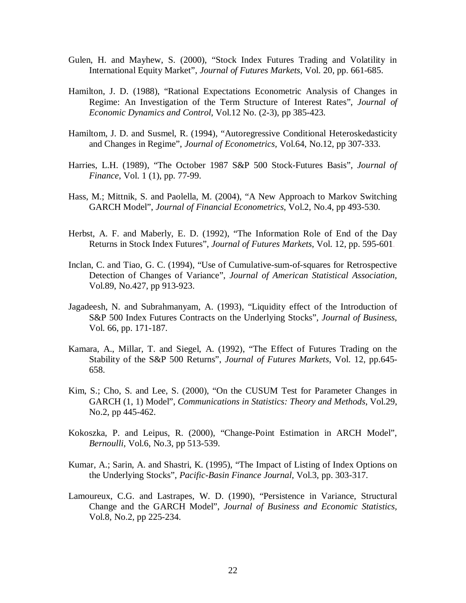- Gulen, H. and Mayhew, S. (2000), "Stock Index Futures Trading and Volatility in International Equity Market", *Journal of Futures Markets*, Vol. 20, pp. 661-685.
- Hamilton, J. D. (1988), "Rational Expectations Econometric Analysis of Changes in Regime: An Investigation of the Term Structure of Interest Rates", *Journal of Economic Dynamics and Control*, Vol.12 No. (2-3), pp 385-423.
- Hamiltom, J. D. and Susmel, R. (1994), "Autoregressive Conditional Heteroskedasticity and Changes in Regime", *Journal of Econometrics,* Vol.64, No.12, pp 307-333.
- Harries, L.H. (1989), "The October 1987 S&P 500 Stock-Futures Basis", *Journal of Finance*, Vol. 1 (1), pp. 77-99.
- Hass, M.; Mittnik, S. and Paolella, M. (2004), "A New Approach to Markov Switching GARCH Model", *Journal of Financial Econometrics*, Vol.2, No.4, pp 493-530.
- Herbst, A. F. and Maberly, E. D. (1992), "The Information Role of End of the Day Returns in Stock Index Futures", *Journal of Futures Markets*, Vol. 12, pp. 595-601.
- Inclan, C. and Tiao, G. C. (1994), "Use of Cumulative-sum-of-squares for Retrospective Detection of Changes of Variance", *Journal of American Statistical Association,* Vol.89, No.427, pp 913-923.
- Jagadeesh, N. and Subrahmanyam, A. (1993), "Liquidity effect of the Introduction of S&P 500 Index Futures Contracts on the Underlying Stocks", *Journal of Business*, Vol. 66, pp. 171-187.
- Kamara, A., Millar, T. and Siegel, A. (1992), "The Effect of Futures Trading on the Stability of the S&P 500 Returns", *Journal of Futures Markets*, Vol. 12, pp.645- 658.
- Kim, S.; Cho, S. and Lee, S. (2000), "On the CUSUM Test for Parameter Changes in GARCH (1, 1) Model", *Communications in Statistics: Theory and Methods*, Vol.29, No.2, pp 445-462.
- Kokoszka, P. and Leipus, R. (2000), "Change-Point Estimation in ARCH Model", *Bernoulli*, Vol.6, No.3, pp 513-539.
- Kumar, A.; Sarin, A. and Shastri, K. (1995), "The Impact of Listing of Index Options on the Underlying Stocks", *Pacific-Basin Finance Journal*, Vol.3, pp. 303-317.
- Lamoureux, C.G. and Lastrapes, W. D. (1990), "Persistence in Variance, Structural Change and the GARCH Model", *Journal of Business and Economic Statistics,* Vol.8, No.2, pp 225-234.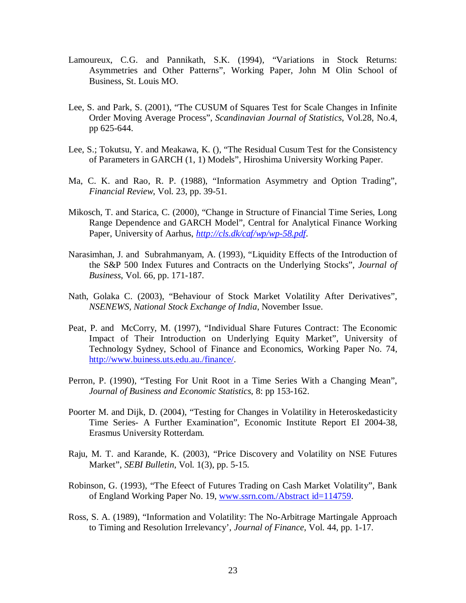- Lamoureux, C.G. and Pannikath, S.K. (1994), "Variations in Stock Returns: Asymmetries and Other Patterns", Working Paper, John M Olin School of Business, St. Louis MO.
- Lee, S. and Park, S. (2001), "The CUSUM of Squares Test for Scale Changes in Infinite Order Moving Average Process", *Scandinavian Journal of Statistics*, Vol.28, No.4, pp 625-644.
- Lee, S.; Tokutsu, Y. and Meakawa, K. (), "The Residual Cusum Test for the Consistency of Parameters in GARCH (1, 1) Models", Hiroshima University Working Paper.
- Ma, C. K. and Rao, R. P. (1988), "Information Asymmetry and Option Trading", *Financial Review*, Vol. 23, pp. 39-51.
- Mikosch, T. and Starica, C. (2000), "Change in Structure of Financial Time Series, Long Range Dependence and GARCH Model", Central for Analytical Finance Working Paper, University of Aarhus, *http://cls.dk/caf/wp/wp-58.pdf*.
- Narasimhan, J. and Subrahmanyam, A. (1993), "Liquidity Effects of the Introduction of the S&P 500 Index Futures and Contracts on the Underlying Stocks", *Journal of Business*, Vol. 66, pp. 171-187.
- Nath, Golaka C. (2003), "Behaviour of Stock Market Volatility After Derivatives", *NSENEWS, National Stock Exchange of India*, November Issue.
- Peat, P. and McCorry, M. (1997), "Individual Share Futures Contract: The Economic Impact of Their Introduction on Underlying Equity Market", University of Technology Sydney, School of Finance and Economics, Working Paper No. 74, http://www.buiness.uts.edu.au./finance/.
- Perron, P. (1990), "Testing For Unit Root in a Time Series With a Changing Mean", *Journal of Business and Economic Statistics*, 8: pp 153-162.
- Poorter M. and Dijk, D. (2004), "Testing for Changes in Volatility in Heteroskedasticity Time Series- A Further Examination", Economic Institute Report EI 2004-38, Erasmus University Rotterdam.
- Raju, M. T. and Karande, K. (2003), "Price Discovery and Volatility on NSE Futures Market", *SEBI Bulletin*, Vol. 1(3), pp. 5-15.
- Robinson, G. (1993), "The Efeect of Futures Trading on Cash Market Volatility", Bank of England Working Paper No. 19, www.ssrn.com./Abstract id=114759.
- Ross, S. A. (1989), "Information and Volatility: The No-Arbitrage Martingale Approach to Timing and Resolution Irrelevancy', *Journal of Finance*, Vol. 44, pp. 1-17.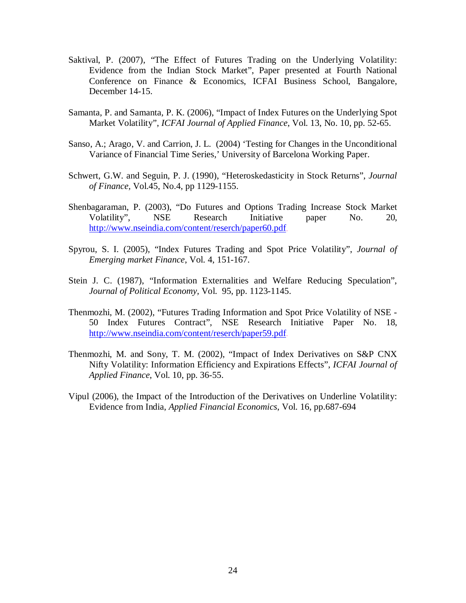- Saktival, P. (2007), "The Effect of Futures Trading on the Underlying Volatility: Evidence from the Indian Stock Market", Paper presented at Fourth National Conference on Finance & Economics, ICFAI Business School, Bangalore, December 14-15.
- Samanta, P. and Samanta, P. K. (2006), "Impact of Index Futures on the Underlying Spot Market Volatility", *ICFAI Journal of Applied Finance*, Vol. 13, No. 10, pp. 52-65.
- Sanso, A.; Arago, V. and Carrion, J. L. (2004) 'Testing for Changes in the Unconditional Variance of Financial Time Series,' University of Barcelona Working Paper.
- Schwert, G.W. and Seguin, P. J. (1990), "Heteroskedasticity in Stock Returns", *Journal of Finance,* Vol.45, No.4, pp 1129-1155.
- Shenbagaraman, P. (2003), "Do Futures and Options Trading Increase Stock Market Volatility", NSE Research Initiative paper No. 20, http://www.nseindia.com/content/reserch/paper60.pdf.
- Spyrou, S. I. (2005), "Index Futures Trading and Spot Price Volatility", *Journal of Emerging market Finance*, Vol. 4, 151-167.
- Stein J. C. (1987), "Information Externalities and Welfare Reducing Speculation", *Journal of Political Economy,* Vol. 95, pp. 1123-1145.
- Thenmozhi, M. (2002), "Futures Trading Information and Spot Price Volatility of NSE 50 Index Futures Contract", NSE Research Initiative Paper No. 18, http://www.nseindia.com/content/reserch/paper59.pdf.
- Thenmozhi, M. and Sony, T. M. (2002), "Impact of Index Derivatives on S&P CNX Nifty Volatility: Information Efficiency and Expirations Effects", *ICFAI Journal of Applied Finance*, Vol. 10, pp. 36-55.
- Vipul (2006), the Impact of the Introduction of the Derivatives on Underline Volatility: Evidence from India, *Applied Financial Economics*, Vol. 16, pp.687-694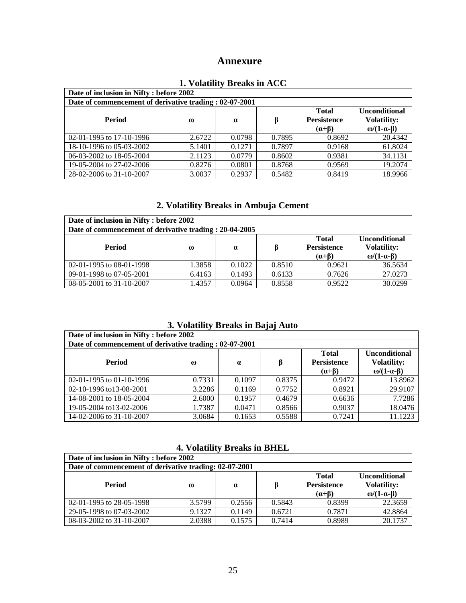# **Annexure**

| Date of inclusion in Nifty : before 2002                |          |          |        |                    |                       |  |  |
|---------------------------------------------------------|----------|----------|--------|--------------------|-----------------------|--|--|
| Date of commencement of derivative trading : 02-07-2001 |          |          |        |                    |                       |  |  |
|                                                         |          |          |        | <b>Total</b>       | <b>Unconditional</b>  |  |  |
| Period                                                  | $\omega$ | $\alpha$ | β      | <b>Persistence</b> | <b>Volatility:</b>    |  |  |
|                                                         |          |          |        | $(\alpha + \beta)$ | ω/ $(1-\alpha-\beta)$ |  |  |
| 02-01-1995 to 17-10-1996                                | 2.6722   | 0.0798   | 0.7895 | 0.8692             | 20.4342               |  |  |
| 18-10-1996 to 05-03-2002                                | 5.1401   | 0.1271   | 0.7897 | 0.9168             | 61.8024               |  |  |
| 06-03-2002 to 18-05-2004                                | 2.1123   | 0.0779   | 0.8602 | 0.9381             | 34.1131               |  |  |
| 19-05-2004 to 27-02-2006                                | 0.8276   | 0.0801   | 0.8768 | 0.9569             | 19.2074               |  |  |
| 28-02-2006 to 31-10-2007                                | 3.0037   | 0.2937   | 0.5482 | 0.8419             | 18.9966               |  |  |

## **1. Volatility Breaks in ACC**

## **2. Volatility Breaks in Ambuja Cement**

| Date of inclusion in Nifty : before 2002                |          |          |        |                                                          |                                                                         |  |  |
|---------------------------------------------------------|----------|----------|--------|----------------------------------------------------------|-------------------------------------------------------------------------|--|--|
| Date of commencement of derivative trading : 20-04-2005 |          |          |        |                                                          |                                                                         |  |  |
| <b>Period</b>                                           | $\omega$ | $\alpha$ |        | <b>Total</b><br><b>Persistence</b><br>$(\alpha + \beta)$ | <b>Unconditional</b><br><b>Volatility:</b><br>$\omega/(1-\alpha-\beta)$ |  |  |
| 02-01-1995 to 08-01-1998                                | 1.3858   | 0.1022   | 0.8510 | 0.9621                                                   | 36.5634                                                                 |  |  |
| 09-01-1998 to 07-05-2001                                | 6.4163   | 0.1493   | 0.6133 | 0.7626                                                   | 27.0273                                                                 |  |  |
| 08-05-2001 to 31-10-2007                                | 1.4357   | 0.0964   | 0.8558 | 0.9522                                                   | 30.0299                                                                 |  |  |

# **3. Volatility Breaks in Bajaj Auto**

| Date of inclusion in Nifty : before 2002                |          |          |        |                                                          |                                                         |  |  |
|---------------------------------------------------------|----------|----------|--------|----------------------------------------------------------|---------------------------------------------------------|--|--|
| Date of commencement of derivative trading : 02-07-2001 |          |          |        |                                                          |                                                         |  |  |
| Period                                                  | $\omega$ | $\alpha$ | β      | <b>Total</b><br><b>Persistence</b><br>$(\alpha + \beta)$ | <b>Unconditional</b><br><b>Volatility:</b><br>ω/(1-α-β) |  |  |
| 02-01-1995 to 01-10-1996                                | 0.7331   | 0.1097   | 0.8375 | 0.9472                                                   | 13.8962                                                 |  |  |
| 02-10-1996 to13-08-2001                                 | 3.2286   | 0.1169   | 0.7752 | 0.8921                                                   | 29.9107                                                 |  |  |
| 14-08-2001 to 18-05-2004                                | 2.6000   | 0.1957   | 0.4679 | 0.6636                                                   | 7.7286                                                  |  |  |
| 19-05-2004 to 13-02-2006                                | 1.7387   | 0.0471   | 0.8566 | 0.9037                                                   | 18.0476                                                 |  |  |
| 14-02-2006 to 31-10-2007                                | 3.0684   | 0.1653   | 0.5588 | 0.7241                                                   | 11.1223                                                 |  |  |

#### **4. Volatility Breaks in BHEL**

| Date of inclusion in Nifty : before 2002               |          |          |        |                                                          |                                                                     |  |  |
|--------------------------------------------------------|----------|----------|--------|----------------------------------------------------------|---------------------------------------------------------------------|--|--|
| Date of commencement of derivative trading: 02-07-2001 |          |          |        |                                                          |                                                                     |  |  |
| <b>Period</b>                                          | $\omega$ | $\alpha$ |        | <b>Total</b><br><b>Persistence</b><br>$(\alpha + \beta)$ | <b>Unconditional</b><br><b>Volatility:</b><br>ω/ $(1-\alpha-\beta)$ |  |  |
| 02-01-1995 to 28-05-1998                               | 3.5799   | 0.2556   | 0.5843 | 0.8399                                                   | 22.3659                                                             |  |  |
| 29-05-1998 to 07-03-2002                               | 9.1327   | 0.1149   | 0.6721 | 0.7871                                                   | 42.8864                                                             |  |  |
| 08-03-2002 to 31-10-2007                               | 2.0388   | 0.1575   | 0.7414 | 0.8989                                                   | 20.1737                                                             |  |  |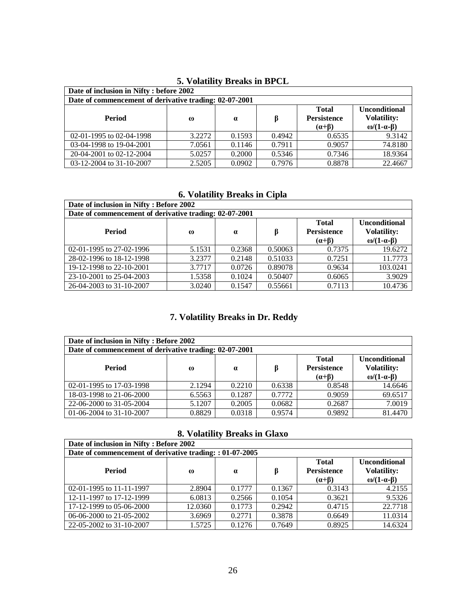| Date of inclusion in Nifty : before 2002               |          |          |        |                    |                           |  |  |
|--------------------------------------------------------|----------|----------|--------|--------------------|---------------------------|--|--|
| Date of commencement of derivative trading: 02-07-2001 |          |          |        |                    |                           |  |  |
|                                                        |          |          |        | <b>Total</b>       | <b>Unconditional</b>      |  |  |
| Period                                                 | $\omega$ | $\alpha$ | β      | <b>Persistence</b> | <b>Volatility:</b>        |  |  |
|                                                        |          |          |        | $(\alpha + \beta)$ | $\omega/(1-\alpha-\beta)$ |  |  |
| 02-01-1995 to 02-04-1998                               | 3.2272   | 0.1593   | 0.4942 | 0.6535             | 9.3142                    |  |  |
| 03-04-1998 to 19-04-2001                               | 7.0561   | 0.1146   | 0.7911 | 0.9057             | 74.8180                   |  |  |
| 20-04-2001 to 02-12-2004                               | 5.0257   | 0.2000   | 0.5346 | 0.7346             | 18.9364                   |  |  |
| 03-12-2004 to 31-10-2007                               | 2.5205   | 0.0902   | 0.7976 | 0.8878             | 22.4667                   |  |  |

# **5. Volatility Breaks in BPCL**

# **6. Volatility Breaks in Cipla**

| Date of inclusion in Nifty: Before 2002                |          |          |         |                    |                      |  |  |
|--------------------------------------------------------|----------|----------|---------|--------------------|----------------------|--|--|
| Date of commencement of derivative trading: 02-07-2001 |          |          |         |                    |                      |  |  |
|                                                        |          |          |         | <b>Total</b>       | <b>Unconditional</b> |  |  |
| <b>Period</b>                                          | $\omega$ | $\alpha$ | β       | <b>Persistence</b> | <b>Volatility:</b>   |  |  |
|                                                        |          |          |         | $(\alpha + \beta)$ | $ω/(1-α-β)$          |  |  |
| 02-01-1995 to 27-02-1996                               | 5.1531   | 0.2368   | 0.50063 | 0.7375             | 19.6272              |  |  |
| 28-02-1996 to 18-12-1998                               | 3.2377   | 0.2148   | 0.51033 | 0.7251             | 11.7773              |  |  |
| 19-12-1998 to 22-10-2001                               | 3.7717   | 0.0726   | 0.89078 | 0.9634             | 103.0241             |  |  |
| 23-10-2001 to 25-04-2003                               | 1.5358   | 0.1024   | 0.50407 | 0.6065             | 3.9029               |  |  |
| 26-04-2003 to 31-10-2007                               | 3.0240   | 0.1547   | 0.55661 | 0.7113             | 10.4736              |  |  |

# **7. Volatility Breaks in Dr. Reddy**

| Date of inclusion in Nifty: Before 2002                |          |          |        |                                                          |                                                         |  |
|--------------------------------------------------------|----------|----------|--------|----------------------------------------------------------|---------------------------------------------------------|--|
| Date of commencement of derivative trading: 02-07-2001 |          |          |        |                                                          |                                                         |  |
| Period                                                 | $\omega$ | $\alpha$ | ß      | <b>Total</b><br><b>Persistence</b><br>$(\alpha + \beta)$ | <b>Unconditional</b><br><b>Volatility:</b><br>ω/(1-α-β) |  |
| 02-01-1995 to 17-03-1998                               | 2.1294   | 0.2210   | 0.6338 | 0.8548                                                   | 14.6646                                                 |  |
| 18-03-1998 to 21-06-2000                               | 6.5563   | 0.1287   | 0.7772 | 0.9059                                                   | 69.6517                                                 |  |
| 22-06-2000 to 31-05-2004                               | 5.1207   | 0.2005   | 0.0682 | 0.2687                                                   | 7.0019                                                  |  |
| 01-06-2004 to 31-10-2007                               | 0.8829   | 0.0318   | 0.9574 | 0.9892                                                   | 81.4470                                                 |  |

# **8. Volatility Breaks in Glaxo**

| Date of inclusion in Nifty: Before 2002                  |          |          |        |                                                          |                                                         |  |  |
|----------------------------------------------------------|----------|----------|--------|----------------------------------------------------------|---------------------------------------------------------|--|--|
| Date of commencement of derivative trading: : 01-07-2005 |          |          |        |                                                          |                                                         |  |  |
| <b>Period</b>                                            | $\omega$ | $\alpha$ | ß      | <b>Total</b><br><b>Persistence</b><br>$(\alpha + \beta)$ | <b>Unconditional</b><br><b>Volatility:</b><br>ω/(1-α-β) |  |  |
| 02-01-1995 to 11-11-1997                                 | 2.8904   | 0.1777   | 0.1367 | 0.3143                                                   | 4.2155                                                  |  |  |
| 12-11-1997 to 17-12-1999                                 | 6.0813   | 0.2566   | 0.1054 | 0.3621                                                   | 9.5326                                                  |  |  |
| 17-12-1999 to 05-06-2000                                 | 12.0360  | 0.1773   | 0.2942 | 0.4715                                                   | 22.7718                                                 |  |  |
| 06-06-2000 to 21-05-2002                                 | 3.6969   | 0.2771   | 0.3878 | 0.6649                                                   | 11.0314                                                 |  |  |
| 22-05-2002 to 31-10-2007                                 | 1.5725   | 0.1276   | 0.7649 | 0.8925                                                   | 14.6324                                                 |  |  |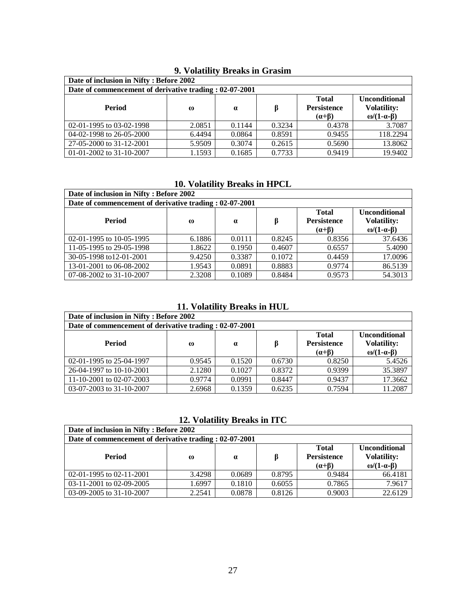| Date of inclusion in Nifty: Before 2002                 |          |          |        |                                    |                                            |  |  |
|---------------------------------------------------------|----------|----------|--------|------------------------------------|--------------------------------------------|--|--|
| Date of commencement of derivative trading : 02-07-2001 |          |          |        |                                    |                                            |  |  |
| Period                                                  | $\omega$ | $\alpha$ | ß      | <b>Total</b><br><b>Persistence</b> | <b>Unconditional</b><br><b>Volatility:</b> |  |  |
|                                                         |          |          |        | $(\alpha + \beta)$                 | $\omega/(1-\alpha-\beta)$                  |  |  |
| 02-01-1995 to 03-02-1998                                | 2.0851   | 0.1144   | 0.3234 | 0.4378                             | 3.7087                                     |  |  |
| 04-02-1998 to 26-05-2000                                | 6.4494   | 0.0864   | 0.8591 | 0.9455                             | 118.2294                                   |  |  |
| 27-05-2000 to 31-12-2001                                | 5.9509   | 0.3074   | 0.2615 | 0.5690                             | 13.8062                                    |  |  |
| 01-01-2002 to 31-10-2007                                | 1.1593   | 0.1685   | 0.7733 | 0.9419                             | 19.9402                                    |  |  |

# **9. Volatility Breaks in Grasim**

# **10. Volatility Breaks in HPCL**

| Date of inclusion in Nifty: Before 2002                 |          |          |        |                                                          |                                                           |  |  |
|---------------------------------------------------------|----------|----------|--------|----------------------------------------------------------|-----------------------------------------------------------|--|--|
| Date of commencement of derivative trading : 02-07-2001 |          |          |        |                                                          |                                                           |  |  |
| Period                                                  | $\omega$ | $\alpha$ | β      | <b>Total</b><br><b>Persistence</b><br>$(\alpha + \beta)$ | <b>Unconditional</b><br><b>Volatility:</b><br>$ω/(1-α-β)$ |  |  |
| 02-01-1995 to 10-05-1995                                | 6.1886   | 0.0111   | 0.8245 | 0.8356                                                   | 37.6436                                                   |  |  |
| 11-05-1995 to 29-05-1998                                | 1.8622   | 0.1950   | 0.4607 | 0.6557                                                   | 5.4090                                                    |  |  |
| 30-05-1998 to12-01-2001                                 | 9.4250   | 0.3387   | 0.1072 | 0.4459                                                   | 17.0096                                                   |  |  |
| 13-01-2001 to 06-08-2002                                | 1.9543   | 0.0891   | 0.8883 | 0.9774                                                   | 86.5139                                                   |  |  |
| 07-08-2002 to 31-10-2007                                | 2.3208   | 0.1089   | 0.8484 | 0.9573                                                   | 54.3013                                                   |  |  |

# **11. Volatility Breaks in HUL**

| Date of inclusion in Nifty: Before 2002                 |          |          |        |                    |                      |  |  |
|---------------------------------------------------------|----------|----------|--------|--------------------|----------------------|--|--|
| Date of commencement of derivative trading : 02-07-2001 |          |          |        |                    |                      |  |  |
|                                                         |          |          |        | <b>Total</b>       | <b>Unconditional</b> |  |  |
| <b>Period</b>                                           | $\omega$ | $\alpha$ | ß      | <b>Persistence</b> | <b>Volatility:</b>   |  |  |
|                                                         |          |          |        | $(\alpha + \beta)$ | ω/(1-α-β)            |  |  |
| 02-01-1995 to 25-04-1997                                | 0.9545   | 0.1520   | 0.6730 | 0.8250             | 5.4526               |  |  |
| 26-04-1997 to 10-10-2001                                | 2.1280   | 0.1027   | 0.8372 | 0.9399             | 35.3897              |  |  |
| 11-10-2001 to 02-07-2003                                | 0.9774   | 0.0991   | 0.8447 | 0.9437             | 17.3662              |  |  |
| 03-07-2003 to $31-10-2007$                              | 2.6968   | 0.1359   | 0.6235 | 0.7594             | 11.2087              |  |  |

**12. Volatility Breaks in ITC**

| Date of inclusion in Nifty: Before 2002                 |          |          |        |                                                          |                                                                         |  |  |
|---------------------------------------------------------|----------|----------|--------|----------------------------------------------------------|-------------------------------------------------------------------------|--|--|
| Date of commencement of derivative trading : 02-07-2001 |          |          |        |                                                          |                                                                         |  |  |
| Period                                                  | $\omega$ | $\alpha$ |        | <b>Total</b><br><b>Persistence</b><br>$(\alpha + \beta)$ | <b>Unconditional</b><br><b>Volatility:</b><br>$\omega/(1-\alpha-\beta)$ |  |  |
| 02-01-1995 to 02-11-2001                                | 3.4298   | 0.0689   | 0.8795 | 0.9484                                                   | 66.4181                                                                 |  |  |
| 03-11-2001 to 02-09-2005                                | 1.6997   | 0.1810   | 0.6055 | 0.7865                                                   | 7.9617                                                                  |  |  |
| 03-09-2005 to $31-10-2007$                              | 2.2541   | 0.0878   | 0.8126 | 0.9003                                                   | 22.6129                                                                 |  |  |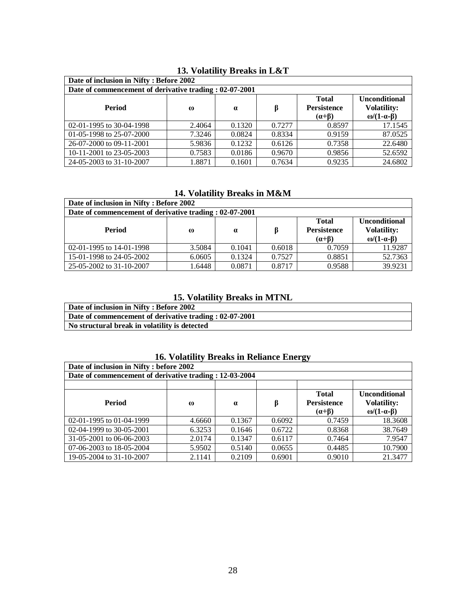| Date of inclusion in Nifty: Before 2002                 |          |          |        |                                                          |                                                         |  |  |
|---------------------------------------------------------|----------|----------|--------|----------------------------------------------------------|---------------------------------------------------------|--|--|
| Date of commencement of derivative trading : 02-07-2001 |          |          |        |                                                          |                                                         |  |  |
| Period                                                  | $\omega$ | $\alpha$ | ß      | <b>Total</b><br><b>Persistence</b><br>$(\alpha + \beta)$ | <b>Unconditional</b><br><b>Volatility:</b><br>ω/(1-α-β) |  |  |
| 02-01-1995 to 30-04-1998                                | 2.4064   | 0.1320   | 0.7277 | 0.8597                                                   | 17.1545                                                 |  |  |
| 01-05-1998 to 25-07-2000                                | 7.3246   | 0.0824   | 0.8334 | 0.9159                                                   | 87.0525                                                 |  |  |
| 26-07-2000 to 09-11-2001                                | 5.9836   | 0.1232   | 0.6126 | 0.7358                                                   | 22.6480                                                 |  |  |
| 10-11-2001 to 23-05-2003                                | 0.7583   | 0.0186   | 0.9670 | 0.9856                                                   | 52.6592                                                 |  |  |
| 24-05-2003 to 31-10-2007                                | 1.8871   | 0.1601   | 0.7634 | 0.9235                                                   | 24.6802                                                 |  |  |

# **13. Volatility Breaks in L&T**

## **14. Volatility Breaks in M&M**

| Date of inclusion in Nifty: Before 2002                 |          |          |        |                                                          |                                                                         |  |
|---------------------------------------------------------|----------|----------|--------|----------------------------------------------------------|-------------------------------------------------------------------------|--|
| Date of commencement of derivative trading : 02-07-2001 |          |          |        |                                                          |                                                                         |  |
| Period                                                  | $\omega$ | $\alpha$ |        | <b>Total</b><br><b>Persistence</b><br>$(\alpha + \beta)$ | <b>Unconditional</b><br><b>Volatility:</b><br>$\omega/(1-\alpha-\beta)$ |  |
| 02-01-1995 to 14-01-1998                                | 3.5084   | 0.1041   | 0.6018 | 0.7059                                                   | 11.9287                                                                 |  |
| 15-01-1998 to 24-05-2002                                | 6.0605   | 0.1324   | 0.7527 | 0.8851                                                   | 52.7363                                                                 |  |
| 25-05-2002 to 31-10-2007                                | .6448    | 0.0871   | 0.8717 | 0.9588                                                   | 39.9231                                                                 |  |

# **15. Volatility Breaks in MTNL**

| Date of inclusion in Nifty: Before 2002                 |
|---------------------------------------------------------|
| Date of commencement of derivative trading : 02-07-2001 |
| No structural break in volatility is detected           |

# **16. Volatility Breaks in Reliance Energy**

| Date of inclusion in Nifty : before 2002                |          |          |        |                                                          |                                                           |  |  |
|---------------------------------------------------------|----------|----------|--------|----------------------------------------------------------|-----------------------------------------------------------|--|--|
| Date of commencement of derivative trading : 12-03-2004 |          |          |        |                                                          |                                                           |  |  |
|                                                         |          |          |        |                                                          |                                                           |  |  |
| <b>Period</b>                                           | $\omega$ | $\alpha$ | β      | <b>Total</b><br><b>Persistence</b><br>$(\alpha + \beta)$ | <b>Unconditional</b><br><b>Volatility:</b><br>$ω/(1-α-β)$ |  |  |
| 02-01-1995 to 01-04-1999                                | 4.6660   | 0.1367   | 0.6092 | 0.7459                                                   | 18.3608                                                   |  |  |
| 02-04-1999 to 30-05-2001                                | 6.3253   | 0.1646   | 0.6722 | 0.8368                                                   | 38.7649                                                   |  |  |
| 31-05-2001 to 06-06-2003                                | 2.0174   | 0.1347   | 0.6117 | 0.7464                                                   | 7.9547                                                    |  |  |
| 07-06-2003 to 18-05-2004                                | 5.9502   | 0.5140   | 0.0655 | 0.4485                                                   | 10.7900                                                   |  |  |
| 19-05-2004 to 31-10-2007                                | 2.1141   | 0.2109   | 0.6901 | 0.9010                                                   | 21.3477                                                   |  |  |